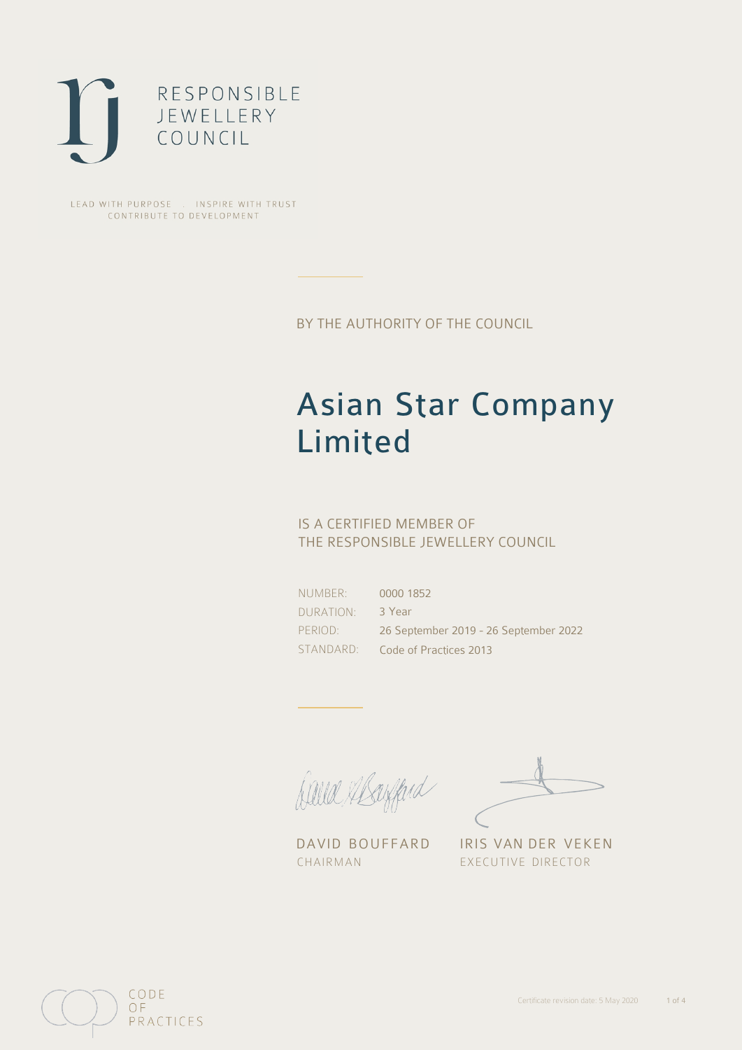

LEAD WITH PURPOSE . INSPIRE WITH TRUST CONTRIBUTE TO DEVELOPMENT

BY THE AUTHORITY OF THE COUNCIL

# Asian Star Company Limited

## IS A CERTIFIED MEMBER OF THE RESPONSIBLE JEWELLERY COUNCIL

NUMBER: DURATION: PERIOD:

STANDARD: Code of Practices 2013 0000 1852 3 Year 26 September 2019 - 26 September 2022

Balla Abayfard

DAVID BOUFFARD IRIS VAN DER VEKEN CHAIRMAN EXECUTIVE DIRECTOR

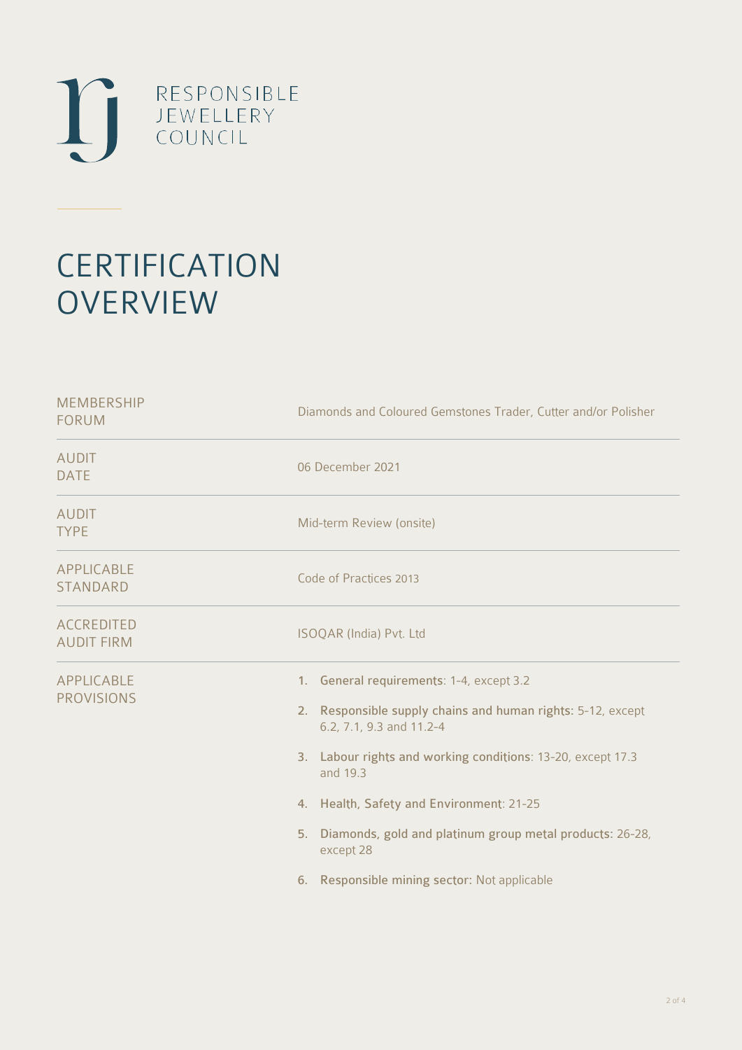

# **CERTIFICATION OVERVIEW**

| <b>MEMBERSHIP</b><br><b>FORUM</b>      | Diamonds and Coloured Gemstones Trader, Cutter and/or Polisher                                                                                                                                                                                                                                                                                                                            |
|----------------------------------------|-------------------------------------------------------------------------------------------------------------------------------------------------------------------------------------------------------------------------------------------------------------------------------------------------------------------------------------------------------------------------------------------|
| <b>AUDIT</b><br><b>DATE</b>            | 06 December 2021                                                                                                                                                                                                                                                                                                                                                                          |
| <b>AUDIT</b><br><b>TYPE</b>            | Mid-term Review (onsite)                                                                                                                                                                                                                                                                                                                                                                  |
| APPLICABLE<br><b>STANDARD</b>          | Code of Practices 2013                                                                                                                                                                                                                                                                                                                                                                    |
| <b>ACCREDITED</b><br><b>AUDIT FIRM</b> | ISOQAR (India) Pvt. Ltd                                                                                                                                                                                                                                                                                                                                                                   |
| APPLICABLE<br><b>PROVISIONS</b>        | 1. General requirements: 1-4, except 3.2<br>2. Responsible supply chains and human rights: 5-12, except<br>6.2, 7.1, 9.3 and 11.2-4<br>3. Labour rights and working conditions: 13-20, except 17.3<br>and 19.3<br>4. Health, Safety and Environment: 21-25<br>Diamonds, gold and platinum group metal products: 26-28,<br>5.<br>except 28<br>6. Responsible mining sector: Not applicable |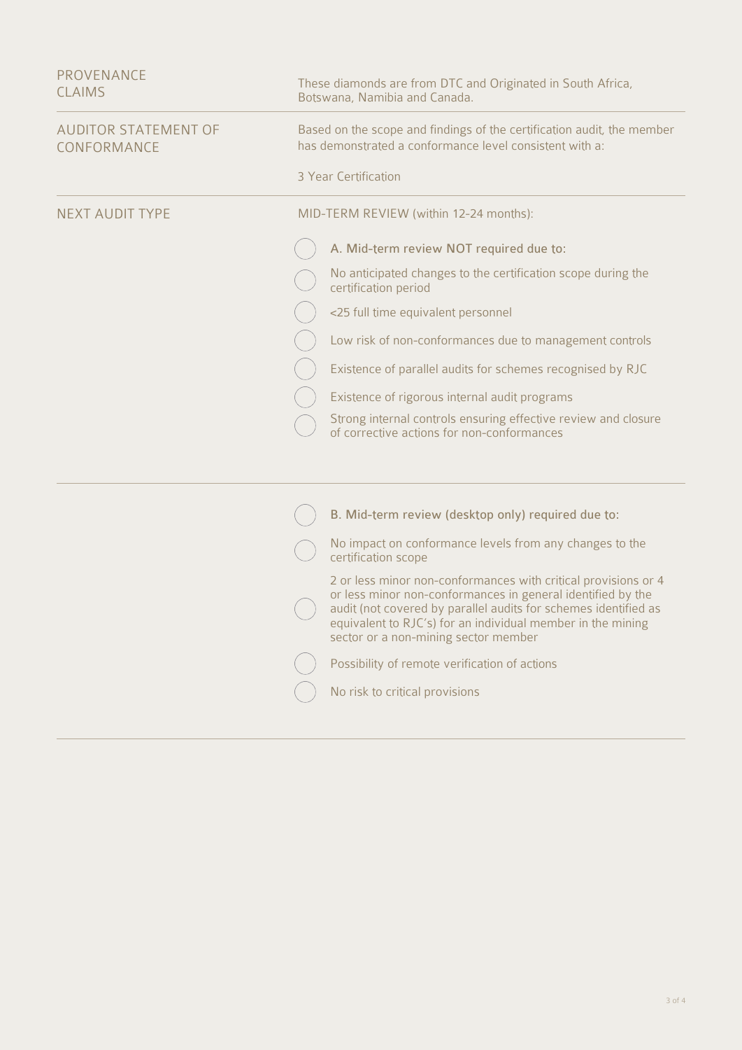| <b>PROVENANCE</b><br><b>CLAIMS</b>         | These diamonds are from DTC and Originated in South Africa,<br>Botswana, Namibia and Canada.                                                                                                                                                                                                            |
|--------------------------------------------|---------------------------------------------------------------------------------------------------------------------------------------------------------------------------------------------------------------------------------------------------------------------------------------------------------|
| <b>AUDITOR STATEMENT OF</b><br>CONFORMANCE | Based on the scope and findings of the certification audit, the member<br>has demonstrated a conformance level consistent with a:                                                                                                                                                                       |
|                                            | 3 Year Certification                                                                                                                                                                                                                                                                                    |
| <b>NEXT AUDIT TYPE</b>                     | MID-TERM REVIEW (within 12-24 months):                                                                                                                                                                                                                                                                  |
|                                            | A. Mid-term review NOT required due to:                                                                                                                                                                                                                                                                 |
|                                            | No anticipated changes to the certification scope during the<br>certification period                                                                                                                                                                                                                    |
|                                            | <25 full time equivalent personnel                                                                                                                                                                                                                                                                      |
|                                            | Low risk of non-conformances due to management controls                                                                                                                                                                                                                                                 |
|                                            | Existence of parallel audits for schemes recognised by RJC                                                                                                                                                                                                                                              |
|                                            | Existence of rigorous internal audit programs                                                                                                                                                                                                                                                           |
|                                            | Strong internal controls ensuring effective review and closure<br>of corrective actions for non-conformances                                                                                                                                                                                            |
|                                            |                                                                                                                                                                                                                                                                                                         |
|                                            | B. Mid-term review (desktop only) required due to:                                                                                                                                                                                                                                                      |
|                                            | No impact on conformance levels from any changes to the<br>certification scope                                                                                                                                                                                                                          |
|                                            | 2 or less minor non-conformances with critical provisions or 4<br>or less minor non-conformances in general identified by the<br>audit (not covered by parallel audits for schemes identified as<br>equivalent to RJC's) for an individual member in the mining<br>sector or a non-mining sector member |
|                                            | Possibility of remote verification of actions                                                                                                                                                                                                                                                           |
|                                            | No risk to critical provisions                                                                                                                                                                                                                                                                          |